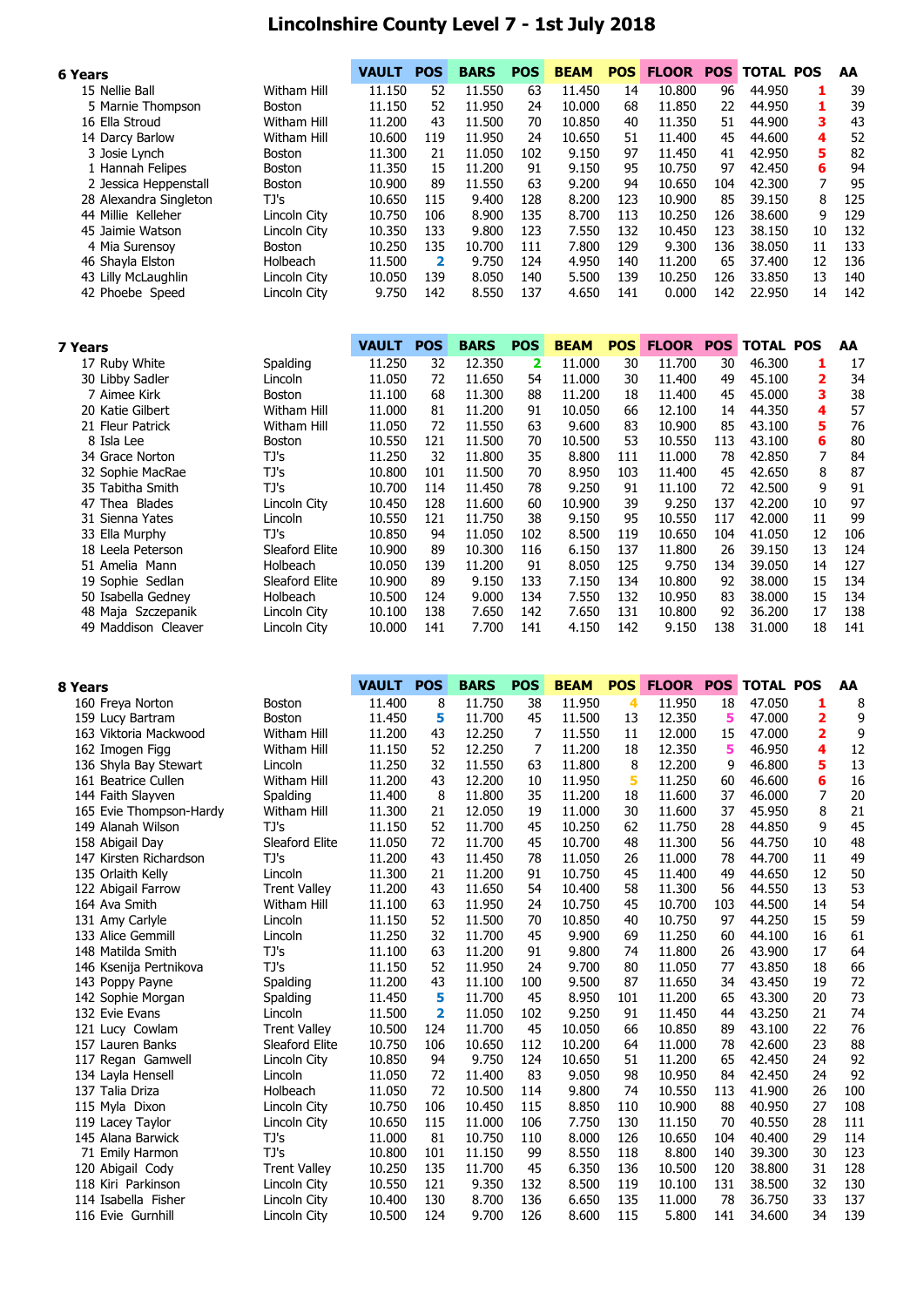## **Lincolnshire County Level 7 - 1st July 2018**

| 6 Years |                        |                    | <b>VAULT</b> | <b>POS</b> | <b>BARS</b> | <b>POS</b> | <b>BEAM</b> | <b>POS</b> | <b>FLOOR</b> | <b>POS</b> | <b>TOTAL POS</b> |    | AA  |
|---------|------------------------|--------------------|--------------|------------|-------------|------------|-------------|------------|--------------|------------|------------------|----|-----|
|         | 15 Nellie Ball         | Witham Hill        | 11.150       | 52         | 11.550      | 63         | 11.450      | 14         | 10.800       | 96         | 44.950           |    | 39  |
|         | 5 Marnie Thompson      | <b>Boston</b>      | 11.150       | 52         | 11.950      | 24         | 10.000      | 68         | 11.850       | 22         | 44.950           | 1  | 39  |
|         | 16 Ella Stroud         | Witham Hill        | 11.200       | 43         | 11.500      | 70         | 10.850      | 40         | 11.350       | 51         | 44.900           | 3  | 43  |
|         | 14 Darcy Barlow        | <b>Witham Hill</b> | 10.600       | 119        | 11.950      | 24         | 10.650      | 51         | 11.400       | 45         | 44.600           | 4  | 52  |
|         | 3 Josie Lynch          | <b>Boston</b>      | 11.300       | 21         | 11.050      | 102        | 9.150       | 97         | 11.450       | 41         | 42.950           | 5  | 82  |
|         | 1 Hannah Felipes       | Boston             | 11.350       | 15         | 11.200      | 91         | 9.150       | 95         | 10.750       | 97         | 42.450           | 6  | 94  |
|         | 2 Jessica Heppenstall  | Boston             | 10.900       | 89         | 11.550      | 63         | 9.200       | 94         | 10.650       | 104        | 42.300           |    | 95  |
|         | 28 Alexandra Singleton | TJ's               | 10.650       | 115        | 9.400       | 128        | 8.200       | 123        | 10.900       | 85         | 39.150           | 8  | 125 |
|         | 44 Millie Kelleher     | Lincoln City       | 10.750       | 106        | 8.900       | 135        | 8.700       | 113        | 10.250       | 126        | 38.600           | 9  | 129 |
|         | 45 Jaimie Watson       | Lincoln City       | 10.350       | 133        | 9.800       | 123        | 7.550       | 132        | 10.450       | 123        | 38.150           | 10 | 132 |
|         | 4 Mia Surensoy         | <b>Boston</b>      | 10.250       | 135        | 10.700      | 111        | 7.800       | 129        | 9.300        | 136        | 38.050           | 11 | 133 |
|         | 46 Shayla Elston       | Holbeach           | 11.500       | 2          | 9.750       | 124        | 4.950       | 140        | 11.200       | 65         | 37.400           | 12 | 136 |
|         | 43 Lilly McLaughlin    | Lincoln City       | 10.050       | 139        | 8.050       | 140        | 5.500       | 139        | 10.250       | 126        | 33.850           | 13 | 140 |
|         | 42 Phoebe Speed        | Lincoln City       | 9.750        | 142        | 8.550       | 137        | 4.650       | 141        | 0.000        | 142        | 22.950           | 14 | 142 |

| 7 Years                             | VAULT  | <b>POS</b> | <b>BARS</b> | <b>POS</b> | <b>BEAM</b> | <b>POS</b> | <b>FLOOR</b> | <b>POS</b> | <b>TOTAL POS</b> |    | AA  |
|-------------------------------------|--------|------------|-------------|------------|-------------|------------|--------------|------------|------------------|----|-----|
| Spalding<br>17 Ruby White           | 11.250 | 32         | 12.350      | 2          | 11.000      | 30         | 11.700       | 30         | 46.300           |    | 17  |
| 30 Libby Sadler<br>Lincoln          | 11.050 | 72         | 11.650      | 54         | 11.000      | 30         | 11.400       | 49         | 45.100           | 2  | 34  |
| 7 Aimee Kirk<br><b>Boston</b>       | 11.100 | 68         | 11.300      | 88         | 11.200      | 18         | 11.400       | 45         | 45,000           | 3  | 38  |
| 20 Katie Gilbert<br>Witham Hill     | 11.000 | 81         | 11.200      | 91         | 10.050      | 66         | 12.100       | 14         | 44.350           | 4  | 57  |
| 21 Fleur Patrick<br>Witham Hill     | 11.050 | 72         | 11.550      | 63         | 9.600       | 83         | 10.900       | 85         | 43.100           | 5  | 76  |
| 8 Isla Lee<br><b>Boston</b>         | 10.550 | 121        | 11.500      | 70         | 10.500      | 53         | 10.550       | 113        | 43.100           | 6  | 80  |
| TJ's<br>34 Grace Norton             | 11.250 | 32         | 11.800      | 35         | 8.800       | 111        | 11.000       | 78         | 42.850           |    | 84  |
| TJ's<br>32 Sophie MacRae            | 10.800 | 101        | 11.500      | 70         | 8.950       | 103        | 11.400       | 45         | 42.650           | 8  | 87  |
| 35 Tabitha Smith<br>TJ's            | 10.700 | 114        | 11.450      | 78         | 9.250       | 91         | 11.100       | 72         | 42.500           | 9  | 91  |
| 47 Thea Blades<br>Lincoln City      | 10.450 | 128        | 11.600      | 60         | 10.900      | 39         | 9.250        | 137        | 42.200           | 10 | 97  |
| 31 Sienna Yates<br>Lincoln          | 10.550 | 121        | 11.750      | 38         | 9.150       | 95         | 10.550       | 117        | 42,000           | 11 | 99  |
| TJ's<br>33 Ella Murphy              | 10.850 | 94         | 11.050      | 102        | 8.500       | 119        | 10.650       | 104        | 41.050           | 12 | 106 |
| 18 Leela Peterson<br>Sleaford Elite | 10.900 | 89         | 10.300      | 116        | 6.150       | 137        | 11.800       | 26         | 39.150           | 13 | 124 |
| 51 Amelia Mann<br>Holbeach          | 10.050 | 139        | 11.200      | 91         | 8.050       | 125        | 9.750        | 134        | 39.050           | 14 | 127 |
| 19 Sophie Sedlan<br>Sleaford Elite  | 10.900 | 89         | 9.150       | 133        | 7.150       | 134        | 10.800       | 92         | 38.000           | 15 | 134 |
| 50 Isabella Gedney<br>Holbeach      | 10.500 | 124        | 9.000       | 134        | 7.550       | 132        | 10.950       | 83         | 38.000           | 15 | 134 |
| 48 Maja Szczepanik<br>Lincoln City  | 10.100 | 138        | 7.650       | 142        | 7.650       | 131        | 10.800       | 92         | 36.200           | 17 | 138 |
| 49 Maddison Cleaver<br>Lincoln City | 10.000 | 141        | 7.700       | 141        | 4.150       | 142        | 9.150        | 138        | 31.000           | 18 | 141 |

| 8 Years                 |                     | <b>VAULT</b> | <b>POS</b>              | <b>BARS</b> | <b>POS</b> | <b>BEAM</b> | <b>POS</b> | <b>FLOOR</b> | <b>POS</b> | <b>TOTAL POS</b> |                         | AA  |
|-------------------------|---------------------|--------------|-------------------------|-------------|------------|-------------|------------|--------------|------------|------------------|-------------------------|-----|
| 160 Freya Norton        | <b>Boston</b>       | 11.400       | 8                       | 11.750      | 38         | 11.950      | 4          | 11.950       | 18         | 47.050           | 1                       | 8   |
| 159 Lucy Bartram        | Boston              | 11.450       | 5                       | 11.700      | 45         | 11.500      | 13         | 12.350       | 5          | 47.000           | $\overline{\mathbf{2}}$ | 9   |
| 163 Viktoria Mackwood   | <b>Witham Hill</b>  | 11.200       | 43                      | 12.250      | 7          | 11.550      | 11         | 12.000       | 15         | 47.000           | $\overline{2}$          | 9   |
| 162 Imogen Figg         | <b>Witham Hill</b>  | 11.150       | 52                      | 12.250      | 7          | 11.200      | 18         | 12.350       | 5          | 46.950           | 4                       | 12  |
| 136 Shyla Bay Stewart   | Lincoln             | 11.250       | 32                      | 11.550      | 63         | 11.800      | 8          | 12.200       | 9          | 46.800           | 5                       | 13  |
| 161 Beatrice Cullen     | <b>Witham Hill</b>  | 11.200       | 43                      | 12.200      | 10         | 11.950      | 5          | 11.250       | 60         | 46.600           | 6                       | 16  |
| 144 Faith Slayven       | Spalding            | 11.400       | 8                       | 11.800      | 35         | 11.200      | 18         | 11.600       | 37         | 46.000           | 7                       | 20  |
| 165 Evie Thompson-Hardy | <b>Witham Hill</b>  | 11.300       | 21                      | 12.050      | 19         | 11.000      | 30         | 11.600       | 37         | 45.950           | 8                       | 21  |
| 149 Alanah Wilson       | TJ's                | 11.150       | 52                      | 11.700      | 45         | 10.250      | 62         | 11.750       | 28         | 44.850           | 9                       | 45  |
| 158 Abigail Day         | Sleaford Elite      | 11.050       | 72                      | 11.700      | 45         | 10.700      | 48         | 11.300       | 56         | 44.750           | 10                      | 48  |
| 147 Kirsten Richardson  | TJ's                | 11.200       | 43                      | 11.450      | 78         | 11.050      | 26         | 11.000       | 78         | 44.700           | 11                      | 49  |
| 135 Orlaith Kelly       | Lincoln             | 11.300       | 21                      | 11.200      | 91         | 10.750      | 45         | 11.400       | 49         | 44.650           | 12                      | 50  |
| 122 Abigail Farrow      | <b>Trent Valley</b> | 11.200       | 43                      | 11.650      | 54         | 10.400      | 58         | 11.300       | 56         | 44.550           | 13                      | 53  |
| 164 Ava Smith           | <b>Witham Hill</b>  | 11.100       | 63                      | 11.950      | 24         | 10.750      | 45         | 10.700       | 103        | 44.500           | 14                      | 54  |
| 131 Amy Carlyle         | Lincoln             | 11.150       | 52                      | 11.500      | 70         | 10.850      | 40         | 10.750       | 97         | 44.250           | 15                      | 59  |
| 133 Alice Gemmill       | Lincoln             | 11.250       | 32                      | 11.700      | 45         | 9.900       | 69         | 11.250       | 60         | 44.100           | 16                      | 61  |
| 148 Matilda Smith       | TJ's                | 11.100       | 63                      | 11.200      | 91         | 9.800       | 74         | 11.800       | 26         | 43.900           | 17                      | 64  |
| 146 Ksenija Pertnikova  | TJ's                | 11.150       | 52                      | 11.950      | 24         | 9.700       | 80         | 11.050       | 77         | 43.850           | 18                      | 66  |
| 143 Poppy Payne         | Spalding            | 11.200       | 43                      | 11.100      | 100        | 9.500       | 87         | 11.650       | 34         | 43.450           | 19                      | 72  |
| 142 Sophie Morgan       | Spalding            | 11.450       | 5                       | 11.700      | 45         | 8.950       | 101        | 11.200       | 65         | 43.300           | 20                      | 73  |
| 132 Evie Evans          | Lincoln             | 11.500       | $\overline{\mathbf{2}}$ | 11.050      | 102        | 9.250       | 91         | 11.450       | 44         | 43.250           | 21                      | 74  |
| 121 Lucy Cowlam         | <b>Trent Valley</b> | 10.500       | 124                     | 11.700      | 45         | 10.050      | 66         | 10.850       | 89         | 43.100           | 22                      | 76  |
| 157 Lauren Banks        | Sleaford Elite      | 10.750       | 106                     | 10.650      | 112        | 10.200      | 64         | 11.000       | 78         | 42.600           | 23                      | 88  |
| 117 Regan Gamwell       | Lincoln City        | 10.850       | 94                      | 9.750       | 124        | 10.650      | 51         | 11.200       | 65         | 42.450           | 24                      | 92  |
| 134 Lavla Hensell       | Lincoln             | 11.050       | 72                      | 11.400      | 83         | 9.050       | 98         | 10.950       | 84         | 42.450           | 24                      | 92  |
| 137 Talia Driza         | Holbeach            | 11.050       | 72                      | 10.500      | 114        | 9.800       | 74         | 10.550       | 113        | 41.900           | 26                      | 100 |
| 115 Myla Dixon          | Lincoln City        | 10.750       | 106                     | 10.450      | 115        | 8.850       | 110        | 10.900       | 88         | 40.950           | 27                      | 108 |
| 119 Lacey Taylor        | Lincoln City        | 10.650       | 115                     | 11.000      | 106        | 7.750       | 130        | 11.150       | 70         | 40.550           | 28                      | 111 |
| 145 Alana Barwick       | TJ's                | 11.000       | 81                      | 10.750      | 110        | 8.000       | 126        | 10.650       | 104        | 40.400           | 29                      | 114 |
| 71 Emily Harmon         | TJ's                | 10.800       | 101                     | 11.150      | 99         | 8.550       | 118        | 8.800        | 140        | 39.300           | 30                      | 123 |
| 120 Abigail Cody        | <b>Trent Valley</b> | 10.250       | 135                     | 11.700      | 45         | 6.350       | 136        | 10.500       | 120        | 38,800           | 31                      | 128 |
| 118 Kiri Parkinson      | Lincoln City        | 10.550       | 121                     | 9.350       | 132        | 8.500       | 119        | 10.100       | 131        | 38.500           | 32                      | 130 |
| 114 Isabella Fisher     | Lincoln City        | 10.400       | 130                     | 8.700       | 136        | 6.650       | 135        | 11.000       | 78         | 36.750           | 33                      | 137 |
| 116 Evie Gurnhill       | Lincoln City        | 10.500       | 124                     | 9.700       | 126        | 8.600       | 115        | 5.800        | 141        | 34.600           | 34                      | 139 |
|                         |                     |              |                         |             |            |             |            |              |            |                  |                         |     |